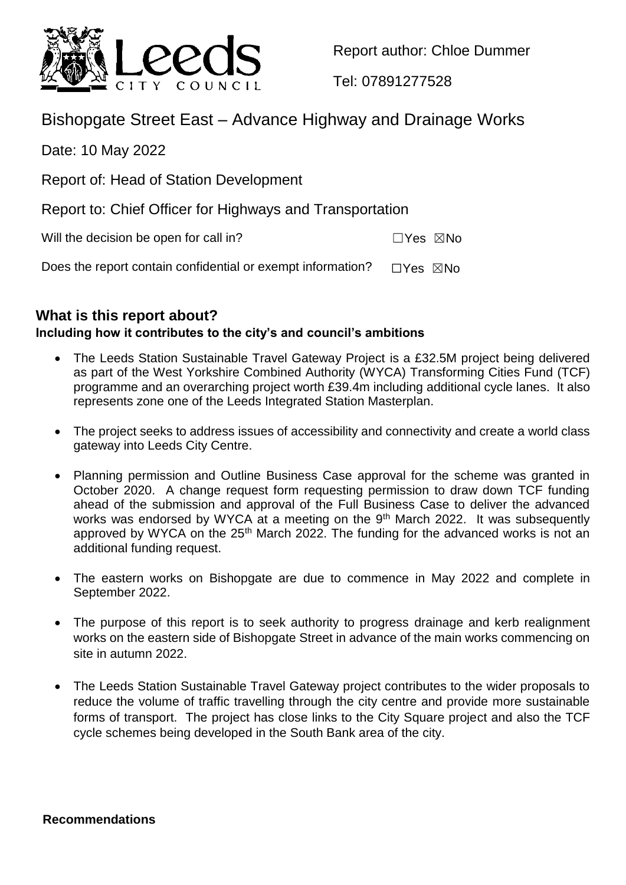

Report author: Chloe Dummer

Tel: 07891277528

# Bishopgate Street East – Advance Highway and Drainage Works

Date: 10 May 2022

Report of: Head of Station Development

Report to: Chief Officer for Highways and Transportation

Will the decision be open for call in? ☐Yes ☒No

Does the report contain confidential or exempt information?  $□Yes \triangle$ No

# **What is this report about?**

# **Including how it contributes to the city's and council's ambitions**

- The Leeds Station Sustainable Travel Gateway Project is a £32.5M project being delivered as part of the West Yorkshire Combined Authority (WYCA) Transforming Cities Fund (TCF) programme and an overarching project worth £39.4m including additional cycle lanes. It also represents zone one of the Leeds Integrated Station Masterplan.
- The project seeks to address issues of accessibility and connectivity and create a world class gateway into Leeds City Centre.
- Planning permission and Outline Business Case approval for the scheme was granted in October 2020. A change request form requesting permission to draw down TCF funding ahead of the submission and approval of the Full Business Case to deliver the advanced works was endorsed by WYCA at a meeting on the 9<sup>th</sup> March 2022. It was subsequently approved by WYCA on the 25<sup>th</sup> March 2022. The funding for the advanced works is not an additional funding request.
- The eastern works on Bishopgate are due to commence in May 2022 and complete in September 2022.
- The purpose of this report is to seek authority to progress drainage and kerb realignment works on the eastern side of Bishopgate Street in advance of the main works commencing on site in autumn 2022.
- The Leeds Station Sustainable Travel Gateway project contributes to the wider proposals to reduce the volume of traffic travelling through the city centre and provide more sustainable forms of transport. The project has close links to the City Square project and also the TCF cycle schemes being developed in the South Bank area of the city.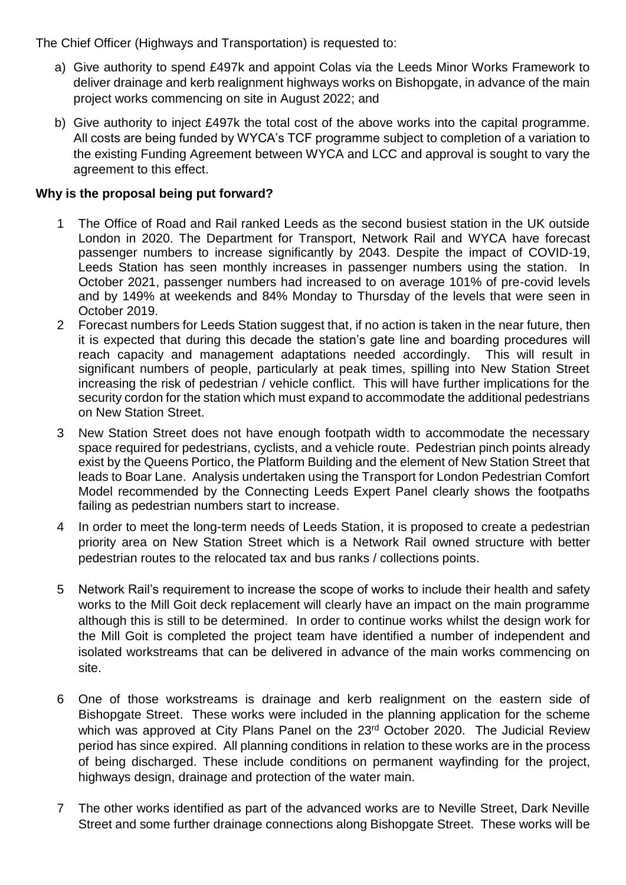The Chief Officer (Highways and Transportation) is requested to:

- a) Give authority to spend £497k and appoint Colas via the Leeds Minor Works Framework to deliver drainage and kerb realignment highways works on Bishopgate, in advance of the main project works commencing on site in August 2022; and
- b) Give authority to inject £497k the total cost of the above works into the capital programme. All costs are being funded by WYCA's TCF programme subject to completion of a variation to the existing Funding Agreement between WYCA and LCC and approval is sought to vary the agreement to this effect.

## **Why is the proposal being put forward?**

- 1 The Office of Road and Rail ranked Leeds as the second busiest station in the UK outside London in 2020. The Department for Transport, Network Rail and WYCA have forecast passenger numbers to increase significantly by 2043. Despite the impact of COVID-19, Leeds Station has seen monthly increases in passenger numbers using the station. In October 2021, passenger numbers had increased to on average 101% of pre-covid levels and by 149% at weekends and 84% Monday to Thursday of the levels that were seen in October 2019.
- 2 Forecast numbers for Leeds Station suggest that, if no action is taken in the near future, then it is expected that during this decade the station's gate line and boarding procedures will reach capacity and management adaptations needed accordingly. This will result in significant numbers of people, particularly at peak times, spilling into New Station Street increasing the risk of pedestrian / vehicle conflict. This will have further implications for the security cordon for the station which must expand to accommodate the additional pedestrians on New Station Street.
- 3 New Station Street does not have enough footpath width to accommodate the necessary space required for pedestrians, cyclists, and a vehicle route. Pedestrian pinch points already exist by the Queens Portico, the Platform Building and the element of New Station Street that leads to Boar Lane. Analysis undertaken using the Transport for London Pedestrian Comfort Model recommended by the Connecting Leeds Expert Panel clearly shows the footpaths failing as pedestrian numbers start to increase.
- 4 In order to meet the long-term needs of Leeds Station, it is proposed to create a pedestrian priority area on New Station Street which is a Network Rail owned structure with better pedestrian routes to the relocated tax and bus ranks / collections points.
- 5 Network Rail's requirement to increase the scope of works to include their health and safety works to the Mill Goit deck replacement will clearly have an impact on the main programme although this is still to be determined. In order to continue works whilst the design work for the Mill Goit is completed the project team have identified a number of independent and isolated workstreams that can be delivered in advance of the main works commencing on site.
- 6 One of those workstreams is drainage and kerb realignment on the eastern side of Bishopgate Street. These works were included in the planning application for the scheme which was approved at City Plans Panel on the 23<sup>rd</sup> October 2020. The Judicial Review period has since expired. All planning conditions in relation to these works are in the process of being discharged. These include conditions on permanent wayfinding for the project, highways design, drainage and protection of the water main.
- 7 The other works identified as part of the advanced works are to Neville Street, Dark Neville Street and some further drainage connections along Bishopgate Street. These works will be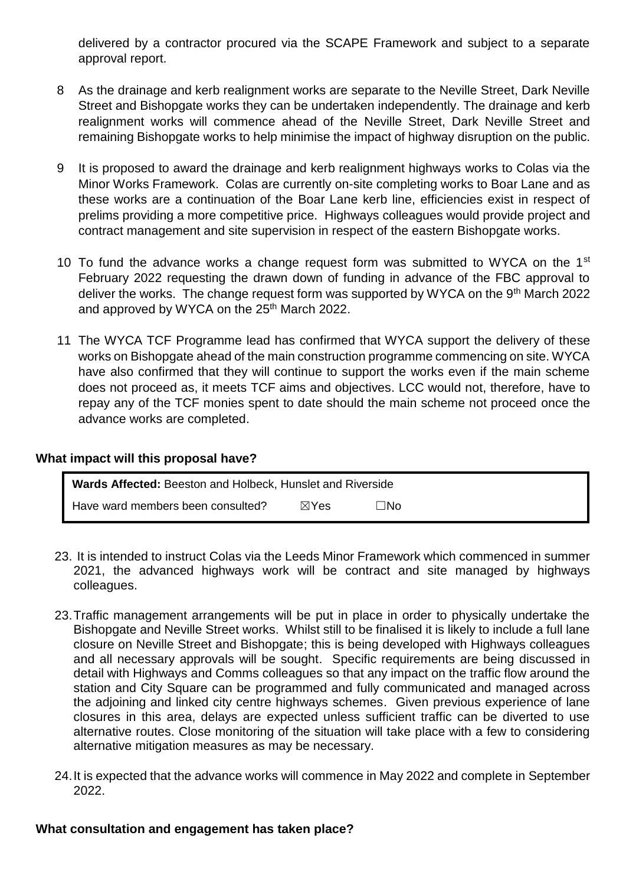delivered by a contractor procured via the SCAPE Framework and subject to a separate approval report.

- 8 As the drainage and kerb realignment works are separate to the Neville Street, Dark Neville Street and Bishopgate works they can be undertaken independently. The drainage and kerb realignment works will commence ahead of the Neville Street, Dark Neville Street and remaining Bishopgate works to help minimise the impact of highway disruption on the public.
- 9 It is proposed to award the drainage and kerb realignment highways works to Colas via the Minor Works Framework. Colas are currently on-site completing works to Boar Lane and as these works are a continuation of the Boar Lane kerb line, efficiencies exist in respect of prelims providing a more competitive price. Highways colleagues would provide project and contract management and site supervision in respect of the eastern Bishopgate works.
- 10 To fund the advance works a change request form was submitted to WYCA on the 1 $\mathrm{^{st}}$ February 2022 requesting the drawn down of funding in advance of the FBC approval to deliver the works. The change request form was supported by WYCA on the 9<sup>th</sup> March 2022 and approved by WYCA on the 25<sup>th</sup> March 2022.
- 11 The WYCA TCF Programme lead has confirmed that WYCA support the delivery of these works on Bishopgate ahead of the main construction programme commencing on site. WYCA have also confirmed that they will continue to support the works even if the main scheme does not proceed as, it meets TCF aims and objectives. LCC would not, therefore, have to repay any of the TCF monies spent to date should the main scheme not proceed once the advance works are completed.

#### **What impact will this proposal have?**

| Wards Affected: Beeston and Holbeck, Hunslet and Riverside |                 |     |
|------------------------------------------------------------|-----------------|-----|
| Have ward members been consulted?                          | $\boxtimes$ Yes | ⊤No |

- 23. It is intended to instruct Colas via the Leeds Minor Framework which commenced in summer 2021, the advanced highways work will be contract and site managed by highways colleagues.
- 23.Traffic management arrangements will be put in place in order to physically undertake the Bishopgate and Neville Street works. Whilst still to be finalised it is likely to include a full lane closure on Neville Street and Bishopgate; this is being developed with Highways colleagues and all necessary approvals will be sought. Specific requirements are being discussed in detail with Highways and Comms colleagues so that any impact on the traffic flow around the station and City Square can be programmed and fully communicated and managed across the adjoining and linked city centre highways schemes. Given previous experience of lane closures in this area, delays are expected unless sufficient traffic can be diverted to use alternative routes. Close monitoring of the situation will take place with a few to considering alternative mitigation measures as may be necessary.
- 24.It is expected that the advance works will commence in May 2022 and complete in September 2022.

#### **What consultation and engagement has taken place?**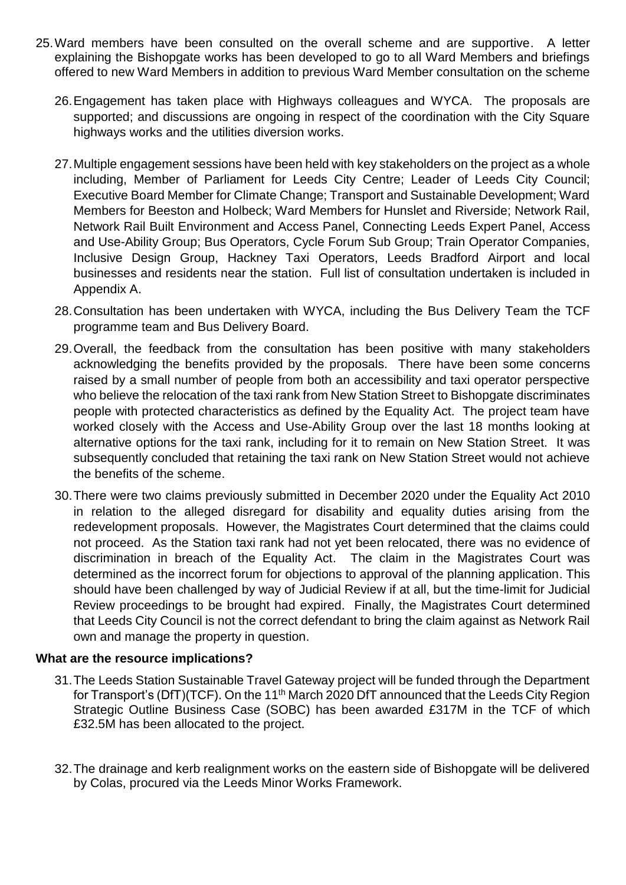- 25.Ward members have been consulted on the overall scheme and are supportive. A letter explaining the Bishopgate works has been developed to go to all Ward Members and briefings offered to new Ward Members in addition to previous Ward Member consultation on the scheme
	- 26.Engagement has taken place with Highways colleagues and WYCA. The proposals are supported; and discussions are ongoing in respect of the coordination with the City Square highways works and the utilities diversion works.
	- 27.Multiple engagement sessions have been held with key stakeholders on the project as a whole including, Member of Parliament for Leeds City Centre; Leader of Leeds City Council; Executive Board Member for Climate Change; Transport and Sustainable Development; Ward Members for Beeston and Holbeck; Ward Members for Hunslet and Riverside; Network Rail, Network Rail Built Environment and Access Panel, Connecting Leeds Expert Panel, Access and Use-Ability Group; Bus Operators, Cycle Forum Sub Group; Train Operator Companies, Inclusive Design Group, Hackney Taxi Operators, Leeds Bradford Airport and local businesses and residents near the station. Full list of consultation undertaken is included in Appendix A.
	- 28.Consultation has been undertaken with WYCA, including the Bus Delivery Team the TCF programme team and Bus Delivery Board.
	- 29.Overall, the feedback from the consultation has been positive with many stakeholders acknowledging the benefits provided by the proposals. There have been some concerns raised by a small number of people from both an accessibility and taxi operator perspective who believe the relocation of the taxi rank from New Station Street to Bishopgate discriminates people with protected characteristics as defined by the Equality Act. The project team have worked closely with the Access and Use-Ability Group over the last 18 months looking at alternative options for the taxi rank, including for it to remain on New Station Street. It was subsequently concluded that retaining the taxi rank on New Station Street would not achieve the benefits of the scheme.
	- 30.There were two claims previously submitted in December 2020 under the Equality Act 2010 in relation to the alleged disregard for disability and equality duties arising from the redevelopment proposals. However, the Magistrates Court determined that the claims could not proceed. As the Station taxi rank had not yet been relocated, there was no evidence of discrimination in breach of the Equality Act. The claim in the Magistrates Court was determined as the incorrect forum for objections to approval of the planning application. This should have been challenged by way of Judicial Review if at all, but the time-limit for Judicial Review proceedings to be brought had expired. Finally, the Magistrates Court determined that Leeds City Council is not the correct defendant to bring the claim against as Network Rail own and manage the property in question.

#### **What are the resource implications?**

- 31.The Leeds Station Sustainable Travel Gateway project will be funded through the Department for Transport's (DfT)(TCF). On the 11<sup>th</sup> March 2020 DfT announced that the Leeds City Region Strategic Outline Business Case (SOBC) has been awarded £317M in the TCF of which £32.5M has been allocated to the project.
- 32.The drainage and kerb realignment works on the eastern side of Bishopgate will be delivered by Colas, procured via the Leeds Minor Works Framework.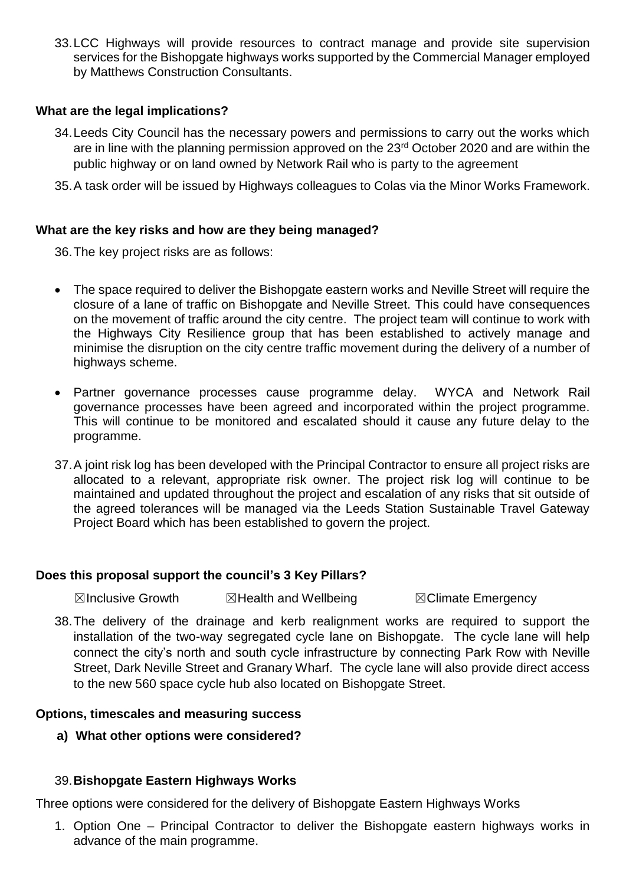33.LCC Highways will provide resources to contract manage and provide site supervision services for the Bishopgate highways works supported by the Commercial Manager employed by Matthews Construction Consultants.

### **What are the legal implications?**

- 34.Leeds City Council has the necessary powers and permissions to carry out the works which are in line with the planning permission approved on the 23<sup>rd</sup> October 2020 and are within the public highway or on land owned by Network Rail who is party to the agreement
- 35.A task order will be issued by Highways colleagues to Colas via the Minor Works Framework.

#### **What are the key risks and how are they being managed?**

36.The key project risks are as follows:

- The space required to deliver the Bishopgate eastern works and Neville Street will require the closure of a lane of traffic on Bishopgate and Neville Street. This could have consequences on the movement of traffic around the city centre. The project team will continue to work with the Highways City Resilience group that has been established to actively manage and minimise the disruption on the city centre traffic movement during the delivery of a number of highways scheme.
- Partner governance processes cause programme delay. WYCA and Network Rail governance processes have been agreed and incorporated within the project programme. This will continue to be monitored and escalated should it cause any future delay to the programme.
- 37.A joint risk log has been developed with the Principal Contractor to ensure all project risks are allocated to a relevant, appropriate risk owner. The project risk log will continue to be maintained and updated throughout the project and escalation of any risks that sit outside of the agreed tolerances will be managed via the Leeds Station Sustainable Travel Gateway Project Board which has been established to govern the project.

# **Does this proposal support the council's 3 Key Pillars?**

☒Inclusive Growth ☒Health and Wellbeing ☒Climate Emergency

38.The delivery of the drainage and kerb realignment works are required to support the installation of the two-way segregated cycle lane on Bishopgate. The cycle lane will help connect the city's north and south cycle infrastructure by connecting Park Row with Neville Street, Dark Neville Street and Granary Wharf. The cycle lane will also provide direct access to the new 560 space cycle hub also located on Bishopgate Street.

#### **Options, timescales and measuring success**

**a) What other options were considered?**

### 39.**Bishopgate Eastern Highways Works**

Three options were considered for the delivery of Bishopgate Eastern Highways Works

1. Option One – Principal Contractor to deliver the Bishopgate eastern highways works in advance of the main programme.